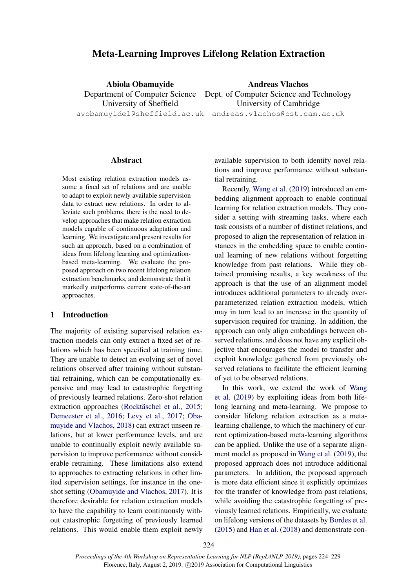# Meta-Learning Improves Lifelong Relation Extraction

Abiola Obamuyide University of Sheffield Andreas Vlachos

Department of Computer Science Dept. of Computer Science and Technology avobamuyide1@sheffield.ac.uk andreas.vlachos@cst.cam.ac.uk University of Cambridge

### **Abstract**

Most existing relation extraction models assume a fixed set of relations and are unable to adapt to exploit newly available supervision data to extract new relations. In order to alleviate such problems, there is the need to develop approaches that make relation extraction models capable of continuous adaptation and learning. We investigate and present results for such an approach, based on a combination of ideas from lifelong learning and optimizationbased meta-learning. We evaluate the proposed approach on two recent lifelong relation extraction benchmarks, and demonstrate that it markedly outperforms current state-of-the-art approaches.

#### 1 Introduction

The majority of existing supervised relation extraction models can only extract a fixed set of relations which has been specified at training time. They are unable to detect an evolving set of novel relations observed after training without substantial retraining, which can be computationally expensive and may lead to catastrophic forgetting of previously learned relations. Zero-shot relation extraction approaches (Rocktäschel et al., [2015;](#page-5-0) [Demeester et al.,](#page-4-0) [2016;](#page-4-0) [Levy et al.,](#page-4-1) [2017;](#page-4-1) [Oba](#page-5-1)[muyide and Vlachos,](#page-5-1) [2018\)](#page-5-1) can extract unseen relations, but at lower performance levels, and are unable to continually exploit newly available supervision to improve performance without considerable retraining. These limitations also extend to approaches to extracting relations in other limited supervision settings, for instance in the oneshot setting [\(Obamuyide and Vlachos,](#page-5-2) [2017\)](#page-5-2). It is therefore desirable for relation extraction models to have the capability to learn continuously without catastrophic forgetting of previously learned relations. This would enable them exploit newly available supervision to both identify novel relations and improve performance without substantial retraining.

Recently, [Wang et al.](#page-5-3) [\(2019\)](#page-5-3) introduced an embedding alignment approach to enable continual learning for relation extraction models. They consider a setting with streaming tasks, where each task consists of a number of distinct relations, and proposed to align the representation of relation instances in the embedding space to enable continual learning of new relations without forgetting knowledge from past relations. While they obtained promising results, a key weakness of the approach is that the use of an alignment model introduces additional parameters to already overparameterized relation extraction models, which may in turn lead to an increase in the quantity of supervision required for training. In addition, the approach can only align embeddings between observed relations, and does not have any explicit objective that encourages the model to transfer and exploit knowledge gathered from previously observed relations to facilitate the efficient learning of yet to be observed relations.

In this work, we extend the work of [Wang](#page-5-3) [et al.](#page-5-3) [\(2019\)](#page-5-3) by exploiting ideas from both lifelong learning and meta-learning. We propose to consider lifelong relation extraction as a metalearning challenge, to which the machinery of current optimization-based meta-learning algorithms can be applied. Unlike the use of a separate alignment model as proposed in [Wang et al.](#page-5-3) [\(2019\)](#page-5-3), the proposed approach does not introduce additional parameters. In addition, the proposed approach is more data efficient since it explicitly optimizes for the transfer of knowledge from past relations, while avoiding the catastrophic forgetting of previously learned relations. Empirically, we evaluate on lifelong versions of the datasets by [Bordes et al.](#page-4-2) [\(2015\)](#page-4-2) and [Han et al.](#page-4-3) [\(2018\)](#page-4-3) and demonstrate con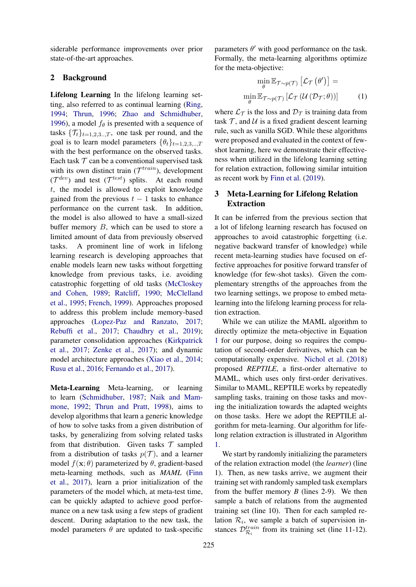siderable performance improvements over prior state-of-the-art approaches.

## 2 Background

Lifelong Learning In the lifelong learning setting, also referred to as continual learning [\(Ring,](#page-5-4) [1994;](#page-5-4) [Thrun,](#page-5-5) [1996;](#page-5-5) [Zhao and Schmidhuber,](#page-5-6) [1996\)](#page-5-6), a model  $f_\theta$  is presented with a sequence of tasks  $\{\mathcal{T}_t\}_{t=1,2,3...T}$ , one task per round, and the goal is to learn model parameters  $\{\theta_t\}_{t=1,2,3,\dots,T}$ with the best performance on the observed tasks. Each task  $T$  can be a conventional supervised task with its own distinct train  $(T^{train})$ , development  $({\cal T}^{dev})$  and test  $({\cal T}^{test})$  splits. At each round  $t$ , the model is allowed to exploit knowledge gained from the previous  $t - 1$  tasks to enhance performance on the current task. In addition, the model is also allowed to have a small-sized buffer memory B, which can be used to store a limited amount of data from previously observed tasks. A prominent line of work in lifelong learning research is developing approaches that enable models learn new tasks without forgetting knowledge from previous tasks, i.e. avoiding catastrophic forgetting of old tasks [\(McCloskey](#page-5-7) [and Cohen,](#page-5-7) [1989;](#page-5-7) [Ratcliff,](#page-5-8) [1990;](#page-5-8) [McClelland](#page-5-9) [et al.,](#page-5-9) [1995;](#page-5-9) [French,](#page-4-4) [1999\)](#page-4-4). Approaches proposed to address this problem include memory-based approaches [\(Lopez-Paz and Ranzato,](#page-5-10) [2017;](#page-5-10) [Rebuffi et al.,](#page-5-11) [2017;](#page-5-11) [Chaudhry et al.,](#page-4-5) [2019\)](#page-4-5); parameter consolidation approaches [\(Kirkpatrick](#page-4-6) [et al.,](#page-4-6) [2017;](#page-4-6) [Zenke et al.,](#page-5-12) [2017\)](#page-5-12); and dynamic model architecture approaches [\(Xiao et al.,](#page-5-13) [2014;](#page-5-13) [Rusu et al.,](#page-5-14) [2016;](#page-5-14) [Fernando et al.,](#page-4-7) [2017\)](#page-4-7).

Meta-Learning Meta-learning, or learning to learn [\(Schmidhuber,](#page-5-15) [1987;](#page-5-15) [Naik and Mam](#page-5-16)[mone,](#page-5-16) [1992;](#page-5-16) [Thrun and Pratt,](#page-5-17) [1998\)](#page-5-17), aims to develop algorithms that learn a generic knowledge of how to solve tasks from a given distribution of tasks, by generalizing from solving related tasks from that distribution. Given tasks  $T$  sampled from a distribution of tasks  $p(\mathcal{T})$ , and a learner model  $f(\mathbf{x}; \theta)$  parameterized by  $\theta$ , gradient-based meta-learning methods, such as *MAML* [\(Finn](#page-4-8) [et al.,](#page-4-8) [2017\)](#page-4-8), learn a prior initialization of the parameters of the model which, at meta-test time, can be quickly adapted to achieve good performance on a new task using a few steps of gradient descent. During adaptation to the new task, the model parameters  $\theta$  are updated to task-specific

parameters  $\theta'$  with good performance on the task. Formally, the meta-learning algorithms optimize for the meta-objective:

<span id="page-1-0"></span>
$$
\min_{\theta} \mathbb{E}_{\mathcal{T} \sim p(\mathcal{T})} [\mathcal{L}_{\mathcal{T}}(\theta')] =
$$

$$
\min_{\theta} \mathbb{E}_{\mathcal{T} \sim p(\mathcal{T})} [\mathcal{L}_{\mathcal{T}}(\mathcal{U}(\mathcal{D}_{\mathcal{T}};\theta))]
$$
(1)

where  $\mathcal{L}_{\mathcal{T}}$  is the loss and  $\mathcal{D}_{\mathcal{T}}$  is training data from task  $\mathcal{T}$ , and  $\mathcal{U}$  is a fixed gradient descent learning rule, such as vanilla SGD. While these algorithms were proposed and evaluated in the context of fewshot learning, here we demonstrate their effectiveness when utilized in the lifelong learning setting for relation extraction, following similar intuition as recent work by [Finn et al.](#page-4-9) [\(2019\)](#page-4-9).

## 3 Meta-Learning for Lifelong Relation Extraction

It can be inferred from the previous section that a lot of lifelong learning research has focused on approaches to avoid catastrophic forgetting (i.e. negative backward transfer of knowledge) while recent meta-learning studies have focused on effective approaches for positive forward transfer of knowledge (for few-shot tasks). Given the complementary strengths of the approaches from the two learning settings, we propose to embed metalearning into the lifelong learning process for relation extraction.

While we can utilize the MAML algorithm to directly optimize the meta-objective in Equation [1](#page-1-0) for our purpose, doing so requires the computation of second-order derivatives, which can be computationally expensive. [Nichol et al.](#page-5-18) [\(2018\)](#page-5-18) proposed *REPTILE*, a first-order alternative to MAML, which uses only first-order derivatives. Similar to MAML, REPTILE works by repeatedly sampling tasks, training on those tasks and moving the initialization towards the adapted weights on those tasks. Here we adopt the REPTILE algorithm for meta-learning. Our algorithm for lifelong relation extraction is illustrated in Algorithm [1.](#page-2-0)

We start by randomly initializing the parameters of the relation extraction model (the *learner*) (line 1). Then, as new tasks arrive, we augment their training set with randomly sampled task exemplars from the buffer memory  $B$  (lines 2-9). We then sample a batch of relations from the augmented training set (line 10). Then for each sampled relation  $\mathcal{R}_i$ , we sample a batch of supervision instances  $\mathcal{D}_{\mathcal{R}_i}^{train}$  from its training set (line 11-12).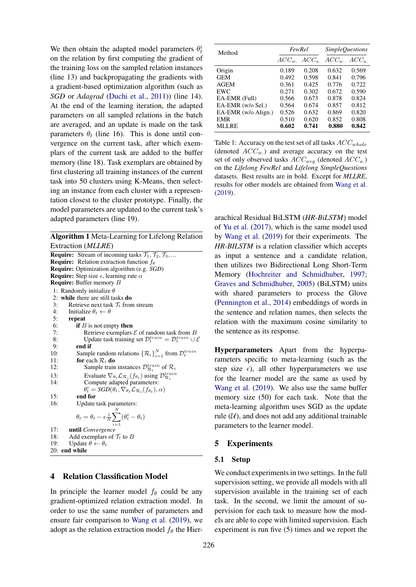We then obtain the adapted model parameters  $\theta_t^i$ on the relation by first computing the gradient of the training loss on the sampled relation instances (line 13) and backpropagating the gradients with a gradient-based optimization algorithm (such as *SGD* or *Adagrad* [\(Duchi et al.,](#page-4-10) [2011\)](#page-4-10)) (line 14). At the end of the learning iteration, the adapted parameters on all sampled relations in the batch are averaged, and an update is made on the task parameters  $\theta_t$  (line 16). This is done until convergence on the current task, after which exemplars of the current task are added to the buffer memory (line 18). Task exemplars are obtained by first clustering all training instances of the current task into 50 clusters using K-Means, then selecting an instance from each cluster with a representation closest to the cluster prototype. Finally, the model parameters are updated to the current task's adapted parameters (line 19).

<span id="page-2-0"></span>Algorithm 1 Meta-Learning for Lifelong Relation Extraction (*MLLRE*)

**Require:** Stream of incoming tasks  $\mathcal{T}_1$ ,  $\mathcal{T}_2$ ,  $\mathcal{T}_3$ , ... **Require:** Relation extraction function  $f_{\theta}$ Require: Optimization algorithm (e.g. *SGD*) **Require:** Step size  $\epsilon$ , learning rate  $\alpha$ Require: Buffer memory B 1: Randomly initialize  $\theta$ 2: while there are still tasks do 3: Retrieve next task  $\mathcal{T}_t$  from stream<br>4: Initialize  $\theta_t \leftarrow \theta$ Initialize  $\theta_t \leftarrow \theta$ 5: repeat 6: **if** *B* is not empty **then**<br>7: Retrieve exemplars Retrieve exemplars  $\mathcal E$  of random task from B 8: Update task training set  $\mathcal{D}_t^{train} = \mathcal{D}_t^{train} \cup \mathcal{E}$ 9: end if 10: Sample random relations  $\{\mathcal{R}_i\}_{i=1}^N$  from  $\mathcal{D}_t^{train}$ 11: for each  $\mathcal{R}_i$  do 12: Sample train instances  $\mathcal{D}^{train}_{\mathcal{R}_i}$  of  $\mathcal{R}_i$ 13: Evaluate  $\nabla_{\theta_t} \mathcal{L}_{\mathcal{R}_i}(f_{\theta_t})$  using  $\mathcal{D}_{\mathcal{R}_i}^{train}$ 14: Compute adapted parameters:  $\theta_t^i = \text{SGD}(\theta_t, \nabla_{\theta_t} \mathcal{L}_{\mathcal{R}_i}(f_{\theta_t}), \alpha)$ 15: end for 16: Update task parameters:<br> $\frac{N}{N}$  $\theta_t = \theta_t - \epsilon \frac{1}{N} \displaystyle \sum^N (\theta^i_t - \theta_t)$  $i=1$ 17: until *Convergence* 18: Add exemplars of  $\mathcal{T}_t$  to B 19: Update  $\theta \leftarrow \theta_t$ 20: end while

## 4 Relation Classification Model

In principle the learner model  $f_\theta$  could be any gradient-optimized relation extraction model. In order to use the same number of parameters and ensure fair comparison to [Wang et al.](#page-5-3) [\(2019\)](#page-5-3), we adopt as the relation extraction model  $f_\theta$  the Hier-

<span id="page-2-1"></span>

| Method              | FewRel    |       | SimpleQuestions                  |       |
|---------------------|-----------|-------|----------------------------------|-------|
|                     | $ACC_{w}$ |       | $ACC_{a.}$ $ACC_{w.}$ $ACC_{a.}$ |       |
| Origin              | 0.189     | 0.208 | 0.632                            | 0.569 |
| <b>GEM</b>          | 0.492     | 0.598 | 0.841                            | 0.796 |
| <b>AGEM</b>         | 0.361     | 0.425 | 0.776                            | 0.722 |
| EWC                 | 0.271     | 0.302 | 0.672                            | 0.590 |
| EA-EMR (Full)       | 0.566     | 0.673 | 0.878                            | 0.824 |
| EA-EMR (w/o Sel.)   | 0.564     | 0.674 | 0.857                            | 0.812 |
| EA-EMR (w/o Align.) | 0.526     | 0.632 | 0.869                            | 0.820 |
| <b>EMR</b>          | 0.510     | 0.620 | 0.852                            | 0.808 |
| <b>MLLRE</b>        | 0.602     | 0.741 | 0.880                            | 0.842 |

Table 1: Accuracy on the test set of all tasks  $ACC_{whole}$ (denoted  $ACC_w$ .) and average accuracy on the test set of only observed tasks  $ACC_{avg}$  (denoted  $ACC_{a}$ .) on the *Lifelong FewRel* and *Lifelong SimpleQuestions* datasets. Best results are in bold. Except for *MLLRE*, results for other models are obtained from [Wang et al.](#page-5-3) [\(2019\)](#page-5-3).

arachical Residual BiLSTM (*HR-BiLSTM*) model of [Yu et al.](#page-5-19) [\(2017\)](#page-5-19), which is the same model used by [Wang et al.](#page-5-3) [\(2019\)](#page-5-3) for their experiments. The *HR-BILSTM* is a relation classifier which accepts as input a sentence and a candidate relation, then utilizes two Bidirectional Long Short-Term Memory [\(Hochreiter and Schmidhuber,](#page-4-11) [1997;](#page-4-11) [Graves and Schmidhuber,](#page-4-12) [2005\)](#page-4-12) (BiLSTM) units with shared parameters to process the Glove [\(Pennington et al.,](#page-5-20) [2014\)](#page-5-20) embeddings of words in the sentence and relation names, then selects the relation with the maximum cosine similarity to the sentence as its response.

Hyperparameters Apart from the hyperparameters specific to meta-learning (such as the step size  $\epsilon$ ), all other hyperparameters we use for the learner model are the same as used by [Wang et al.](#page-5-3) [\(2019\)](#page-5-3). We also use the same buffer memory size (50) for each task. Note that the meta-learning algorithm uses SGD as the update rule  $(\mathcal{U})$ , and does not add any additional trainable parameters to the learner model.

#### 5 Experiments

#### 5.1 Setup

We conduct experiments in two settings. In the full supervision setting, we provide all models with all supervision available in the training set of each task. In the second, we limit the amount of supervision for each task to measure how the models are able to cope with limited supervision. Each experiment is run five (5) times and we report the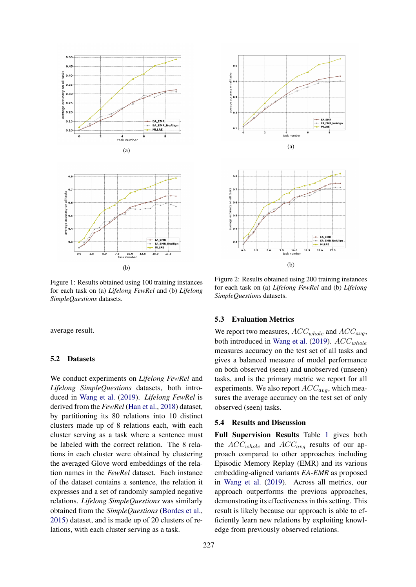



Figure 1: Results obtained using 100 training instances for each task on (a) *Lifelong FewRel* and (b) *Lifelong SimpleQuestions* datasets.

average result.

#### 5.2 Datasets

We conduct experiments on *Lifelong FewRel* and *Lifelong SimpleQuestions* datasets, both introduced in [Wang et al.](#page-5-3) [\(2019\)](#page-5-3). *Lifelong FewRel* is derived from the *FewRel* [\(Han et al.,](#page-4-3) [2018\)](#page-4-3) dataset, by partitioning its 80 relations into 10 distinct clusters made up of 8 relations each, with each cluster serving as a task where a sentence must be labeled with the correct relation. The 8 relations in each cluster were obtained by clustering the averaged Glove word embeddings of the relation names in the *FewRel* dataset. Each instance of the dataset contains a sentence, the relation it expresses and a set of randomly sampled negative relations. *Lifelong SimpleQuestions* was similarly obtained from the *SimpleQuestions* [\(Bordes et al.,](#page-4-2) [2015\)](#page-4-2) dataset, and is made up of 20 clusters of relations, with each cluster serving as a task.



Figure 2: Results obtained using 200 training instances for each task on (a) *Lifelong FewRel* and (b) *Lifelong SimpleQuestions* datasets.

#### 5.3 Evaluation Metrics

We report two measures,  $ACC_{whole}$  and  $ACC_{avg}$ , both introduced in [Wang et al.](#page-5-3) [\(2019\)](#page-5-3).  $ACC_{whole}$ measures accuracy on the test set of all tasks and gives a balanced measure of model performance on both observed (seen) and unobserved (unseen) tasks, and is the primary metric we report for all experiments. We also report  $ACC_{avg}$ , which measures the average accuracy on the test set of only observed (seen) tasks.

## 5.4 Results and Discussion

Full Supervision Results Table [1](#page-2-1) gives both the  $ACC_{whole}$  and  $ACC_{avg}$  results of our approach compared to other approaches including Episodic Memory Replay (EMR) and its various embedding-aligned variants *EA-EMR* as proposed in [Wang et al.](#page-5-3) [\(2019\)](#page-5-3). Across all metrics, our approach outperforms the previous approaches, demonstrating its effectiveness in this setting. This result is likely because our approach is able to efficiently learn new relations by exploiting knowledge from previously observed relations.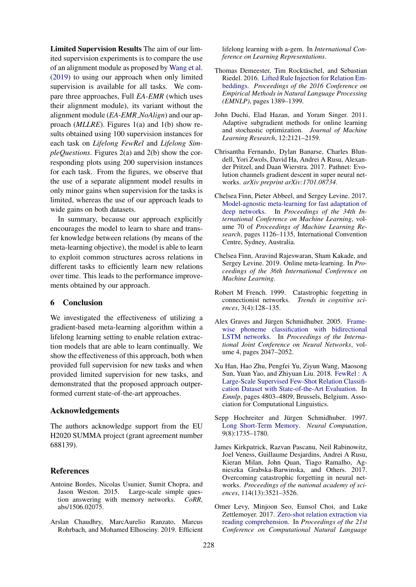Limited Supervision Results The aim of our limited supervision experiments is to compare the use of an alignment module as proposed by [Wang et al.](#page-5-3) [\(2019\)](#page-5-3) to using our approach when only limited supervision is available for all tasks. We compare three approaches, Full *EA-EMR* (which uses their alignment module), its variant without the alignment module (*EA-EMR NoAlign*) and our approach (*MLLRE*). Figures 1(a) and 1(b) show results obtained using 100 supervision instances for each task on *Lifelong FewRel* and *Lifelong SimpleQuestions*. Figures 2(a) and 2(b) show the corresponding plots using 200 supervision instances for each task. From the figures, we observe that the use of a separate alignment model results in only minor gains when supervision for the tasks is limited, whereas the use of our approach leads to wide gains on both datasets.

In summary, because our approach explicitly encourages the model to learn to share and transfer knowledge between relations (by means of the meta-learning objective), the model is able to learn to exploit common structures across relations in different tasks to efficiently learn new relations over time. This leads to the performance improvements obtained by our approach.

## 6 Conclusion

We investigated the effectiveness of utilizing a gradient-based meta-learning algorithm within a lifelong learning setting to enable relation extraction models that are able to learn continually. We show the effectiveness of this approach, both when provided full supervision for new tasks and when provided limited supervision for new tasks, and demonstrated that the proposed approach outperformed current state-of-the-art approaches.

#### Acknowledgements

The authors acknowledge support from the EU H2020 SUMMA project (grant agreement number 688139).

### References

- <span id="page-4-2"></span>Antoine Bordes, Nicolas Usunier, Sumit Chopra, and Jason Weston. 2015. Large-scale simple question answering with memory networks. *CoRR*, abs/1506.02075.
- <span id="page-4-5"></span>Arslan Chaudhry, MarcAurelio Ranzato, Marcus Rohrbach, and Mohamed Elhoseiny. 2019. Efficient

lifelong learning with a-gem. In *International Conference on Learning Representations*.

- <span id="page-4-0"></span>Thomas Demeester, Tim Rocktäschel, and Sebastian Riedel. 2016. [Lifted Rule Injection for Relation Em](http://arxiv.org/abs/1606.08359)[beddings.](http://arxiv.org/abs/1606.08359) *Proceedings of the 2016 Conference on Empirical Methods in Natural Language Processing (EMNLP)*, pages 1389–1399.
- <span id="page-4-10"></span>John Duchi, Elad Hazan, and Yoram Singer. 2011. Adaptive subgradient methods for online learning and stochastic optimization. *Journal of Machine Learning Research*, 12:2121–2159.
- <span id="page-4-7"></span>Chrisantha Fernando, Dylan Banarse, Charles Blundell, Yori Zwols, David Ha, Andrei A Rusu, Alexander Pritzel, and Daan Wierstra. 2017. Pathnet: Evolution channels gradient descent in super neural networks. *arXiv preprint arXiv:1701.08734*.
- <span id="page-4-8"></span>Chelsea Finn, Pieter Abbeel, and Sergey Levine. 2017. [Model-agnostic meta-learning for fast adaptation of](http://proceedings.mlr.press/v70/finn17a.html) [deep networks.](http://proceedings.mlr.press/v70/finn17a.html) In *Proceedings of the 34th International Conference on Machine Learning*, volume 70 of *Proceedings of Machine Learning Research*, pages 1126–1135, International Convention Centre, Sydney, Australia.
- <span id="page-4-9"></span>Chelsea Finn, Aravind Rajeswaran, Sham Kakade, and Sergey Levine. 2019. Online meta-learning. In *Proceedings of the 36th International Conference on Machine Learning*.
- <span id="page-4-4"></span>Robert M French. 1999. Catastrophic forgetting in connectionist networks. *Trends in cognitive sciences*, 3(4):128–135.
- <span id="page-4-12"></span>Alex Graves and Jürgen Schmidhuber. 2005. [Frame](https://doi.org/10.1109/IJCNN.2005.1556215)[wise phoneme classification with bidirectional](https://doi.org/10.1109/IJCNN.2005.1556215) [LSTM networks.](https://doi.org/10.1109/IJCNN.2005.1556215) In *Proceedings of the International Joint Conference on Neural Networks*, volume 4, pages 2047–2052.
- <span id="page-4-3"></span>Xu Han, Hao Zhu, Pengfei Yu, Ziyun Wang, Maosong Sun, Yuan Yao, and Zhiyuan Liu. 2018. [FewRel : A](http://arxiv.org/abs/1810.10147) [Large-Scale Supervised Few-Shot Relation Classifi](http://arxiv.org/abs/1810.10147)[cation Dataset with State-of-the-Art Evaluation.](http://arxiv.org/abs/1810.10147) In *Emnlp*, pages 4803–4809, Brussels, Belgium. Association for Computational Linguistics.
- <span id="page-4-11"></span>Sepp Hochreiter and Jürgen Schmidhuber. 1997. [Long Short-Term Memory.](https://doi.org/10.1162/neco.1997.9.8.1735) *Neural Computation*, 9(8):1735–1780.
- <span id="page-4-6"></span>James Kirkpatrick, Razvan Pascanu, Neil Rabinowitz, Joel Veness, Guillaume Desjardins, Andrei A Rusu, Kieran Milan, John Quan, Tiago Ramalho, Agnieszka Grabska-Barwinska, and Others. 2017. Overcoming catastrophic forgetting in neural networks. *Proceedings of the national academy of sciences*, 114(13):3521–3526.
- <span id="page-4-1"></span>Omer Levy, Minjoon Seo, Eunsol Choi, and Luke Zettlemoyer. 2017. [Zero-shot relation extraction via](https://doi.org/10.18653/v1/K17-1034) [reading comprehension.](https://doi.org/10.18653/v1/K17-1034) In *Proceedings of the 21st Conference on Computational Natural Language*